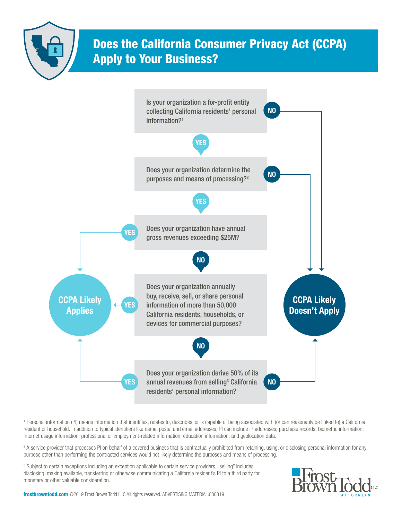

## Does the California Consumer Privacy Act (CCPA) Apply to Your Business?



1 Personal information (PI) means information that identifies, relates to, describes, or is capable of being associated with (or can reasonably be linked to) a California resident or household. In addition to typical identifiers like name, postal and email addresses, PI can include IP addresses; purchase records; biometric information; Internet usage information; professional or employment-related information; education information; and geolocation data.

<sup>2</sup> A service provider that processes PI on behalf of a covered business that is contractually prohibited from retaining, using, or disclosing personal information for any purpose other than performing the contracted services would not likely determine the purposes and means of processing.

<sup>3</sup> Subject to certain exceptions including an exception applicable to certain service providers, "selling" includes disclosing, making available, transferring or otherwise communicating a California resident's PI to a third party for monetary or other valuable consideration.



frostbrowntodd.com ©2019 Frost Brown Todd LLC All rights reserved. ADVERTISING MATERIAL.080819